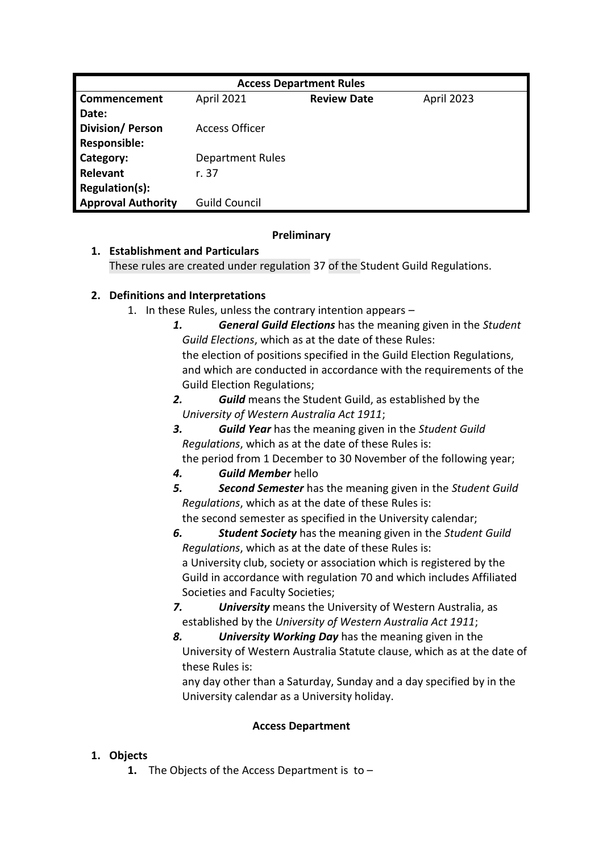| <b>Access Department Rules</b> |                         |                    |            |  |  |  |
|--------------------------------|-------------------------|--------------------|------------|--|--|--|
| Commencement                   | <b>April 2021</b>       | <b>Review Date</b> | April 2023 |  |  |  |
| Date:                          |                         |                    |            |  |  |  |
| <b>Division/Person</b>         | Access Officer          |                    |            |  |  |  |
| <b>Responsible:</b>            |                         |                    |            |  |  |  |
| Category:                      | <b>Department Rules</b> |                    |            |  |  |  |
| Relevant                       | r. 37                   |                    |            |  |  |  |
| Regulation(s):                 |                         |                    |            |  |  |  |
| <b>Approval Authority</b>      | Guild Council           |                    |            |  |  |  |

#### **Preliminary**

## **1. Establishment and Particulars**

These rules are created under regulation 37 of the Student Guild Regulations.

# **2. Definitions and Interpretations**

- 1. In these Rules, unless the contrary intention appears
	- *1. General Guild Elections* has the meaning given in the *Student Guild Elections*, which as at the date of these Rules: the election of positions specified in the Guild Election Regulations, and which are conducted in accordance with the requirements of the Guild Election Regulations;
	- *2. Guild* means the Student Guild, as established by the *University of Western Australia Act 1911*;
	- *3. Guild Year* has the meaning given in the *Student Guild Regulations*, which as at the date of these Rules is:
	- the period from 1 December to 30 November of the following year;
	- *4. Guild Member* hello
	- *5. Second Semester* has the meaning given in the *Student Guild Regulations*, which as at the date of these Rules is: the second semester as specified in the University calendar;
	- *6. Student Society* has the meaning given in the *Student Guild Regulations*, which as at the date of these Rules is: a University club, society or association which is registered by the Guild in accordance with regulation 70 and which includes Affiliated Societies and Faculty Societies;
	- *7. University* means the University of Western Australia, as established by the *University of Western Australia Act 1911*;
	- *8. University Working Day* has the meaning given in the University of Western Australia Statute clause, which as at the date of these Rules is:

any day other than a Saturday, Sunday and a day specified by in the University calendar as a University holiday.

# **Access Department**

# **1. Objects**

**1.** The Objects of the Access Department is to –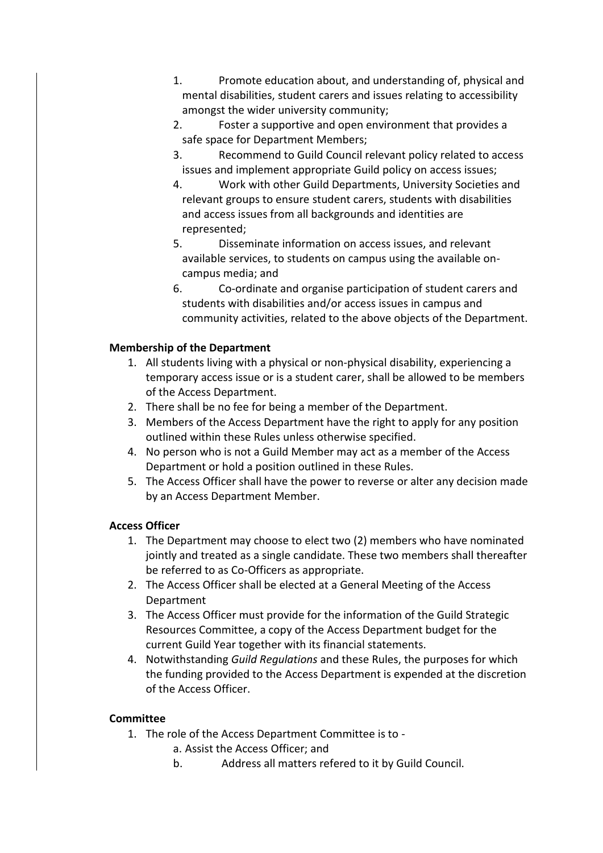- 1. Promote education about, and understanding of, physical and mental disabilities, student carers and issues relating to accessibility amongst the wider university community;
- 2. Foster a supportive and open environment that provides a safe space for Department Members;
- 3. Recommend to Guild Council relevant policy related to access issues and implement appropriate Guild policy on access issues;
- 4. Work with other Guild Departments, University Societies and relevant groups to ensure student carers, students with disabilities and access issues from all backgrounds and identities are represented;
- 5. Disseminate information on access issues, and relevant available services, to students on campus using the available oncampus media; and
- 6. Co-ordinate and organise participation of student carers and students with disabilities and/or access issues in campus and community activities, related to the above objects of the Department.

#### **Membership of the Department**

- 1. All students living with a physical or non-physical disability, experiencing a temporary access issue or is a student carer, shall be allowed to be members of the Access Department.
- 2. There shall be no fee for being a member of the Department.
- 3. Members of the Access Department have the right to apply for any position outlined within these Rules unless otherwise specified.
- 4. No person who is not a Guild Member may act as a member of the Access Department or hold a position outlined in these Rules.
- 5. The Access Officer shall have the power to reverse or alter any decision made by an Access Department Member.

#### **Access Officer**

- 1. The Department may choose to elect two (2) members who have nominated jointly and treated as a single candidate. These two members shall thereafter be referred to as Co-Officers as appropriate.
- 2. The Access Officer shall be elected at a General Meeting of the Access Department
- 3. The Access Officer must provide for the information of the Guild Strategic Resources Committee, a copy of the Access Department budget for the current Guild Year together with its financial statements.
- 4. Notwithstanding *Guild Regulations* and these Rules, the purposes for which the funding provided to the Access Department is expended at the discretion of the Access Officer.

#### **Committee**

- 1. The role of the Access Department Committee is to
	- a. Assist the Access Officer; and
	- b. Address all matters refered to it by Guild Council.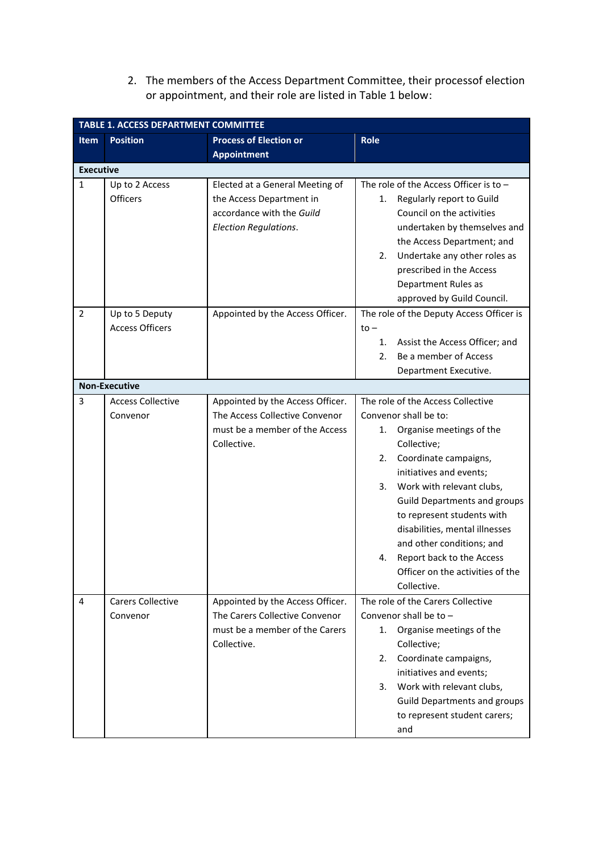2. The members of the Access Department Committee, their processof election or appointment, and their role are listed in Table 1 below:

| <b>TABLE 1. ACCESS DEPARTMENT COMMITTEE</b> |                          |                                  |                                          |  |  |
|---------------------------------------------|--------------------------|----------------------------------|------------------------------------------|--|--|
| <b>Item</b>                                 | <b>Position</b>          | <b>Process of Election or</b>    | <b>Role</b>                              |  |  |
|                                             |                          | <b>Appointment</b>               |                                          |  |  |
| <b>Executive</b>                            |                          |                                  |                                          |  |  |
| $\mathbf{1}$                                | Up to 2 Access           | Elected at a General Meeting of  | The role of the Access Officer is to -   |  |  |
|                                             | <b>Officers</b>          | the Access Department in         | Regularly report to Guild<br>1.          |  |  |
|                                             |                          | accordance with the Guild        | Council on the activities                |  |  |
|                                             |                          | <b>Election Regulations.</b>     | undertaken by themselves and             |  |  |
|                                             |                          |                                  | the Access Department; and               |  |  |
|                                             |                          |                                  | Undertake any other roles as<br>2.       |  |  |
|                                             |                          |                                  | prescribed in the Access                 |  |  |
|                                             |                          |                                  | Department Rules as                      |  |  |
|                                             |                          |                                  | approved by Guild Council.               |  |  |
| $\overline{2}$                              | Up to 5 Deputy           | Appointed by the Access Officer. | The role of the Deputy Access Officer is |  |  |
|                                             | <b>Access Officers</b>   |                                  | $to -$                                   |  |  |
|                                             |                          |                                  | Assist the Access Officer; and<br>1.     |  |  |
|                                             |                          |                                  | Be a member of Access<br>2.              |  |  |
|                                             |                          |                                  | Department Executive.                    |  |  |
|                                             | <b>Non-Executive</b>     |                                  |                                          |  |  |
| 3                                           | <b>Access Collective</b> | Appointed by the Access Officer. | The role of the Access Collective        |  |  |
|                                             | Convenor                 | The Access Collective Convenor   | Convenor shall be to:                    |  |  |
|                                             |                          | must be a member of the Access   | Organise meetings of the<br>1.           |  |  |
|                                             |                          | Collective.                      | Collective;                              |  |  |
|                                             |                          |                                  | Coordinate campaigns,<br>2.              |  |  |
|                                             |                          |                                  | initiatives and events;                  |  |  |
|                                             |                          |                                  | Work with relevant clubs,<br>3.          |  |  |
|                                             |                          |                                  | <b>Guild Departments and groups</b>      |  |  |
|                                             |                          |                                  | to represent students with               |  |  |
|                                             |                          |                                  | disabilities, mental illnesses           |  |  |
|                                             |                          |                                  | and other conditions; and                |  |  |
|                                             |                          |                                  | Report back to the Access<br>4.          |  |  |
|                                             |                          |                                  | Officer on the activities of the         |  |  |
|                                             |                          |                                  | Collective.                              |  |  |
| 4                                           | <b>Carers Collective</b> | Appointed by the Access Officer. | The role of the Carers Collective        |  |  |
|                                             | Convenor                 | The Carers Collective Convenor   | Convenor shall be to $-$                 |  |  |
|                                             |                          | must be a member of the Carers   | Organise meetings of the<br>1.           |  |  |
|                                             |                          | Collective.                      | Collective;                              |  |  |
|                                             |                          |                                  | Coordinate campaigns,<br>2.              |  |  |
|                                             |                          |                                  | initiatives and events;                  |  |  |
|                                             |                          |                                  | Work with relevant clubs,<br>3.          |  |  |
|                                             |                          |                                  | <b>Guild Departments and groups</b>      |  |  |
|                                             |                          |                                  | to represent student carers;             |  |  |
|                                             |                          |                                  | and                                      |  |  |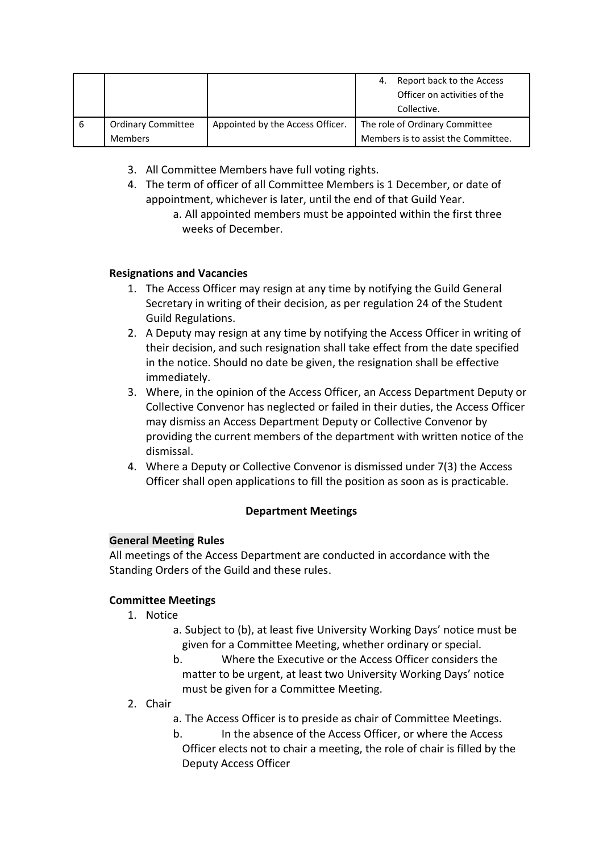|   |                           |                                  | 4. | Report back to the Access           |
|---|---------------------------|----------------------------------|----|-------------------------------------|
|   |                           |                                  |    | Officer on activities of the        |
|   |                           |                                  |    | Collective.                         |
| 6 | <b>Ordinary Committee</b> | Appointed by the Access Officer. |    | The role of Ordinary Committee      |
|   | <b>Members</b>            |                                  |    | Members is to assist the Committee. |

- 3. All Committee Members have full voting rights.
- 4. The term of officer of all Committee Members is 1 December, or date of appointment, whichever is later, until the end of that Guild Year.
	- a. All appointed members must be appointed within the first three weeks of December.

#### **Resignations and Vacancies**

- 1. The Access Officer may resign at any time by notifying the Guild General Secretary in writing of their decision, as per regulation 24 of the Student Guild Regulations.
- 2. A Deputy may resign at any time by notifying the Access Officer in writing of their decision, and such resignation shall take effect from the date specified in the notice. Should no date be given, the resignation shall be effective immediately.
- 3. Where, in the opinion of the Access Officer, an Access Department Deputy or Collective Convenor has neglected or failed in their duties, the Access Officer may dismiss an Access Department Deputy or Collective Convenor by providing the current members of the department with written notice of the dismissal.
- 4. Where a Deputy or Collective Convenor is dismissed under 7(3) the Access Officer shall open applications to fill the position as soon as is practicable.

## **Department Meetings**

## **General Meeting Rules**

All meetings of the Access Department are conducted in accordance with the Standing Orders of the Guild and these rules.

## **Committee Meetings**

- 1. Notice
	- a. Subject to (b), at least five University Working Days' notice must be given for a Committee Meeting, whether ordinary or special.
	- b. Where the Executive or the Access Officer considers the matter to be urgent, at least two University Working Days' notice must be given for a Committee Meeting.
- 2. Chair
	- a. The Access Officer is to preside as chair of Committee Meetings.
	- b. In the absence of the Access Officer, or where the Access Officer elects not to chair a meeting, the role of chair is filled by the Deputy Access Officer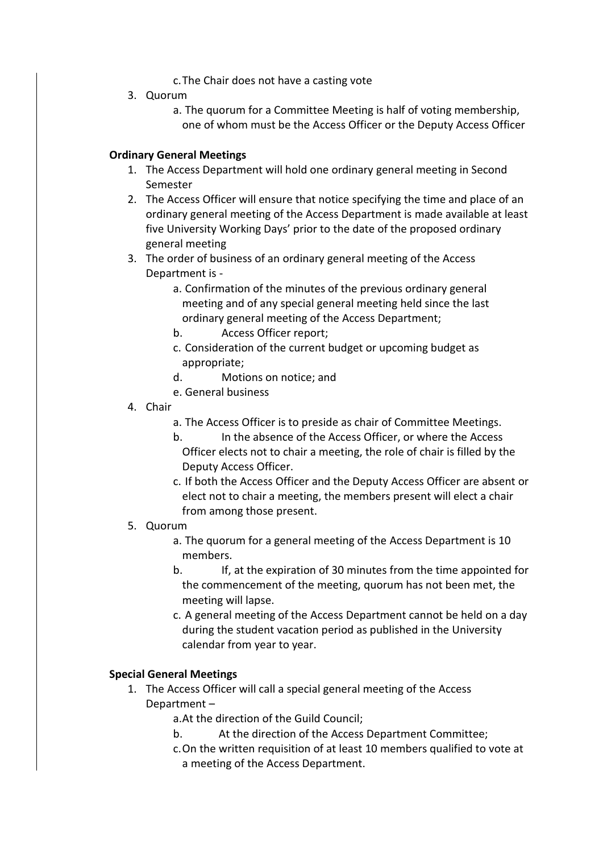- c.The Chair does not have a casting vote
- 3. Quorum
	- a. The quorum for a Committee Meeting is half of voting membership, one of whom must be the Access Officer or the Deputy Access Officer

#### **Ordinary General Meetings**

- 1. The Access Department will hold one ordinary general meeting in Second Semester
- 2. The Access Officer will ensure that notice specifying the time and place of an ordinary general meeting of the Access Department is made available at least five University Working Days' prior to the date of the proposed ordinary general meeting
- 3. The order of business of an ordinary general meeting of the Access Department is
	- a. Confirmation of the minutes of the previous ordinary general meeting and of any special general meeting held since the last ordinary general meeting of the Access Department;
	- b. Access Officer report;
	- c. Consideration of the current budget or upcoming budget as appropriate;
	- d. Motions on notice; and
	- e. General business
- 4. Chair
	- a. The Access Officer is to preside as chair of Committee Meetings.
	- b. In the absence of the Access Officer, or where the Access Officer elects not to chair a meeting, the role of chair is filled by the Deputy Access Officer.
	- c. If both the Access Officer and the Deputy Access Officer are absent or elect not to chair a meeting, the members present will elect a chair from among those present.

#### 5. Quorum

- a. The quorum for a general meeting of the Access Department is 10 members.
- b. If, at the expiration of 30 minutes from the time appointed for the commencement of the meeting, quorum has not been met, the meeting will lapse.
- c. A general meeting of the Access Department cannot be held on a day during the student vacation period as published in the University calendar from year to year.

## **Special General Meetings**

- 1. The Access Officer will call a special general meeting of the Access Department –
	- a.At the direction of the Guild Council;
	- b. At the direction of the Access Department Committee;
	- c.On the written requisition of at least 10 members qualified to vote at a meeting of the Access Department.